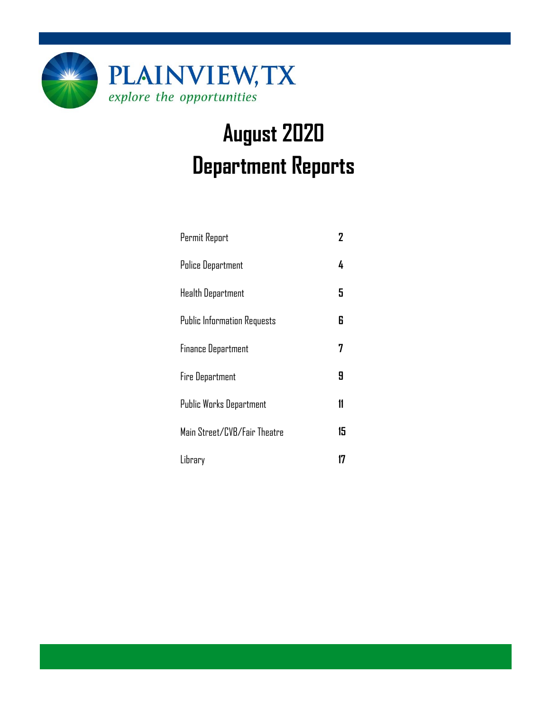

# **August 2020 Department Reports**

| Permit Report                      | 2  |
|------------------------------------|----|
| <b>Police Department</b>           | 4  |
| <b>Health Department</b>           | 5  |
| <b>Public Information Requests</b> | 6  |
| <b>Finance Department</b>          |    |
| <b>Fire Department</b>             | 9  |
| Public Works Department            | 11 |
| Main Street/CVB/Fair Theatre       | 15 |
| Library                            |    |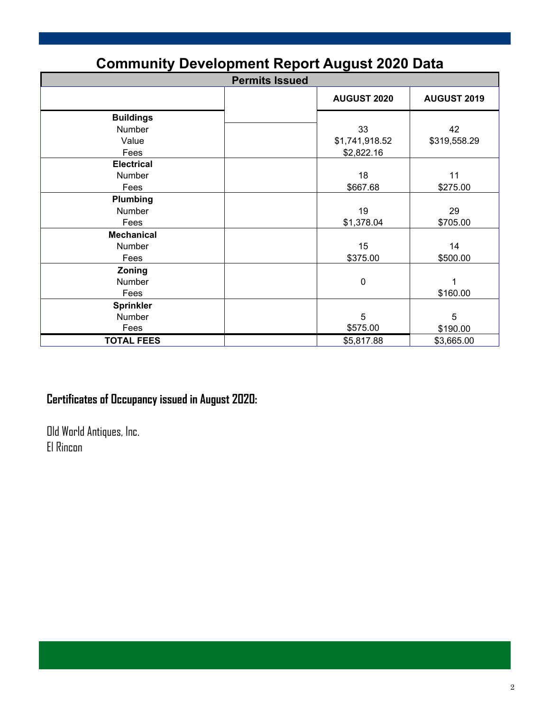| <b>Community Development Report August 2020 Data</b> |                    |                    |  |  |  |  |  |
|------------------------------------------------------|--------------------|--------------------|--|--|--|--|--|
| <b>Permits Issued</b>                                |                    |                    |  |  |  |  |  |
|                                                      | <b>AUGUST 2020</b> | <b>AUGUST 2019</b> |  |  |  |  |  |
| <b>Buildings</b>                                     |                    |                    |  |  |  |  |  |
| Number                                               | 33                 | 42                 |  |  |  |  |  |
| Value                                                | \$1,741,918.52     | \$319,558.29       |  |  |  |  |  |
| Fees                                                 | \$2,822.16         |                    |  |  |  |  |  |
| <b>Electrical</b>                                    |                    |                    |  |  |  |  |  |
| Number                                               | 18                 | 11                 |  |  |  |  |  |
| Fees                                                 | \$667.68           | \$275.00           |  |  |  |  |  |
| Plumbing                                             |                    |                    |  |  |  |  |  |
| Number                                               | 19                 | 29                 |  |  |  |  |  |
| Fees                                                 | \$1,378.04         | \$705.00           |  |  |  |  |  |
| <b>Mechanical</b>                                    |                    |                    |  |  |  |  |  |
| Number                                               | 15                 | 14                 |  |  |  |  |  |
| Fees                                                 | \$375.00           | \$500.00           |  |  |  |  |  |
| Zoning                                               |                    |                    |  |  |  |  |  |
| Number                                               | $\mathbf 0$        |                    |  |  |  |  |  |
| Fees                                                 |                    | \$160.00           |  |  |  |  |  |
| <b>Sprinkler</b>                                     |                    |                    |  |  |  |  |  |
| Number                                               | 5                  | 5                  |  |  |  |  |  |
| Fees                                                 | \$575.00           | \$190.00           |  |  |  |  |  |
| <b>TOTAL FEES</b>                                    | \$5,817.88         | \$3,665.00         |  |  |  |  |  |

# **Community Development Report August 2020 Data**

# **Certificates of Occupancy issued in August 2020:**

Old World Antiques, Inc. El Rincon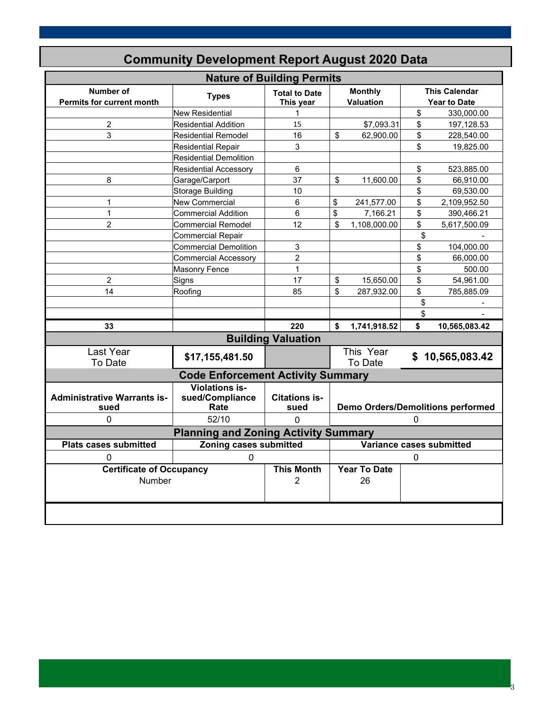| <b>Nature of Building Permits</b>                                                         |                                                  |                                   |                                          |                      |    |                                             |  |
|-------------------------------------------------------------------------------------------|--------------------------------------------------|-----------------------------------|------------------------------------------|----------------------|----|---------------------------------------------|--|
| <b>Number of</b><br><b>Permits for current month</b>                                      | <b>Types</b>                                     | <b>Total to Date</b><br>This year | <b>Monthly</b><br>Valuation              |                      |    | <b>This Calendar</b><br><b>Year to Date</b> |  |
|                                                                                           | <b>New Residential</b>                           | 1                                 |                                          |                      | \$ | 330,000.00                                  |  |
| $\overline{c}$                                                                            | <b>Residential Addition</b>                      | 15                                |                                          | \$7,093.31           | \$ | 197,128.53                                  |  |
| 3                                                                                         | <b>Residential Remodel</b>                       | 16                                | \$                                       | 62,900.00            | \$ | 228,540.00                                  |  |
|                                                                                           | <b>Residential Repair</b>                        | 3                                 |                                          |                      | \$ | 19,825.00                                   |  |
|                                                                                           | <b>Residential Demolition</b>                    |                                   |                                          |                      |    |                                             |  |
|                                                                                           | <b>Residential Accessory</b>                     | 6                                 |                                          |                      | \$ | 523,885.00                                  |  |
| 8                                                                                         | Garage/Carport                                   | 37                                | \$                                       | 11,600.00            | \$ | 66,910.00                                   |  |
|                                                                                           | <b>Storage Building</b>                          | 10                                |                                          |                      | \$ | 69,530.00                                   |  |
| 1                                                                                         | <b>New Commercial</b>                            | 6                                 | \$                                       | 241,577.00           | \$ | 2,109,952.50                                |  |
| $\mathbf{1}$                                                                              | <b>Commercial Addition</b>                       | 6                                 | \$                                       | 7,166.21             | \$ | 390,466.21                                  |  |
| $\overline{2}$                                                                            | <b>Commercial Remodel</b>                        | 12                                | \$                                       | 1,108,000.00         | \$ | 5,617,500.09                                |  |
|                                                                                           | Commercial Repair                                |                                   |                                          |                      | \$ |                                             |  |
|                                                                                           | <b>Commercial Demolition</b>                     | 3                                 |                                          |                      | \$ | 104,000.00                                  |  |
|                                                                                           | <b>Commercial Accessory</b>                      | $\overline{2}$                    |                                          |                      | \$ | 66,000.00                                   |  |
|                                                                                           | <b>Masonry Fence</b>                             | $\mathbf{1}$                      |                                          |                      | \$ | 500.00                                      |  |
| $\overline{2}$                                                                            | Signs                                            | 17                                | \$                                       | 15,650.00            | \$ | 54,961.00                                   |  |
| 14                                                                                        | Roofing                                          | 85                                | \$                                       | 287,932.00           | \$ | 785,885.09                                  |  |
|                                                                                           |                                                  |                                   |                                          |                      | \$ |                                             |  |
|                                                                                           |                                                  |                                   |                                          |                      | \$ |                                             |  |
| 33                                                                                        |                                                  | 220                               | \$                                       | 1,741,918.52         | \$ | 10,565,083.42                               |  |
|                                                                                           |                                                  | <b>Building Valuation</b>         |                                          |                      |    |                                             |  |
| Last Year<br>To Date                                                                      | \$17,155,481.50                                  |                                   |                                          | This Year<br>To Date |    | \$10,565,083.42                             |  |
|                                                                                           | <b>Code Enforcement Activity Summary</b>         |                                   |                                          |                      |    |                                             |  |
| <b>Administrative Warrants is-</b><br>sued                                                | <b>Violations is-</b><br>sued/Compliance<br>Rate | <b>Citations is-</b><br>sued      | <b>Demo Orders/Demolitions performed</b> |                      |    |                                             |  |
| 0                                                                                         | 52/10                                            | U                                 |                                          |                      | 0  |                                             |  |
|                                                                                           | <b>Planning and Zoning Activity Summary</b>      |                                   |                                          |                      |    |                                             |  |
| <b>Zoning cases submitted</b><br>Variance cases submitted<br><b>Plats cases submitted</b> |                                                  |                                   |                                          |                      |    |                                             |  |
| $\Omega$                                                                                  |                                                  |                                   |                                          | 0                    |    |                                             |  |
| <b>Certificate of Occupancy</b>                                                           |                                                  | <b>This Month</b>                 |                                          | <b>Year To Date</b>  |    |                                             |  |
| Number                                                                                    |                                                  | $\overline{2}$                    |                                          | 26                   |    |                                             |  |
|                                                                                           |                                                  |                                   |                                          |                      |    |                                             |  |

**Community Development Report August 2020 Data** 

3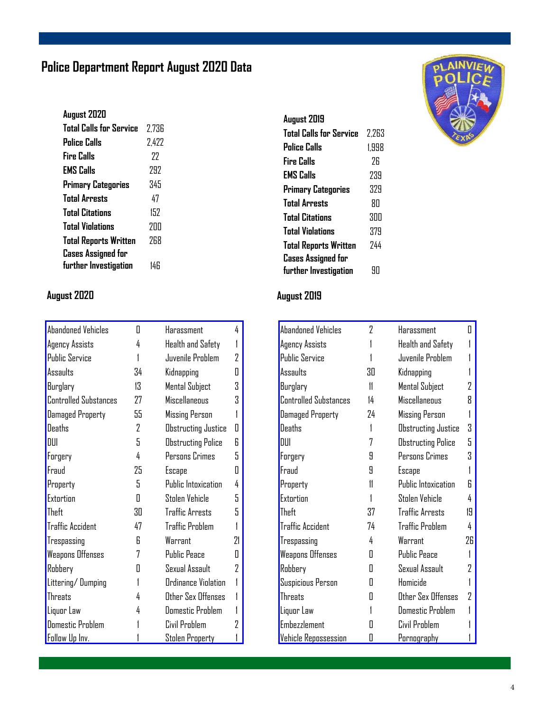# **Police Department Report August 2020 Data**

| August 2020                  |       |
|------------------------------|-------|
| Total Calls for Service      | 2.736 |
| Police Calls                 | 2.422 |
| <b>Fire Calls</b>            | 77    |
| <b>EMS Calls</b>             | 292   |
| <b>Primary Categories</b>    | 345   |
| <b>Total Arrests</b>         | 47    |
| <b>Total Citations</b>       | 152   |
| <b>Total Violations</b>      | 7ПП   |
| <b>Total Reports Written</b> | 768   |
| <b>Cases Assigned for</b>    |       |
| further Investigation        | 14 F  |
|                              |       |

# **August 2020 August 2019**

| <b>Abandoned Vehicles</b>    | Π  | Harassment                | 4  |
|------------------------------|----|---------------------------|----|
| Agency Assists               | 4  | Health and Safety         |    |
| <b>Public Service</b>        | 1  | Juvenile Problem          | 2  |
| Assaults                     | 34 | Kidnapping                | Π  |
| Burglary                     | 13 | Mental Subject            | 3  |
| <b>Controlled Substances</b> | 27 | <b>Miscellaneous</b>      | Χ  |
| Damaged Property             | 55 | <b>Missing Person</b>     |    |
| Deaths                       | 2  | Obstructing Justice       | П  |
| DIII                         | 5  | <b>Obstructing Police</b> | R  |
| Forgery                      | 4  | Persons Crimes            | 5  |
| Fraud                        | 25 | Escape                    | Π  |
| Property                     | 5  | Public Intoxication       | 4  |
| Extortion                    | 0  | Stolen Vehicle            | 5  |
| Theft                        | 30 | Traffic Arrests           | 5  |
| <b>Traffic Accident</b>      | 47 | <b>Traffic Problem</b>    |    |
| Trespassing                  | R  | Warrant                   | 71 |
| <b>Weapons Offenses</b>      | 7  | <b>Public Peace</b>       | Π  |
| Robbery                      | Π  | Sexual Assault            | 2  |
| Littering/Dumping            | 1  | Ordinance Violation       |    |
| <b>Threats</b>               | 4  | Other Sex Offenses        |    |
| Liquor Law                   | 4  | <b>Domestic Problem</b>   |    |
| <b>Domestic Problem</b>      |    | Civil Problem             | 7  |
| Follow Up Inv.               |    | Stolen Property           |    |

| August 2019                    |       |
|--------------------------------|-------|
| <b>Total Calls for Service</b> | 2.263 |
| Police Calls                   | 1.998 |
| Fire Calls                     | 7Б    |
| <b>EMS Calls</b>               | 239   |
| <b>Primary Categories</b>      | 329   |
| <b>Total Arrests</b>           | ЯN    |
| <b>Total Citations</b>         | 300   |
| <b>Total Violations</b>        | 379   |
| <b>Total Reports Written</b>   | 744   |
| <b>Cases Assigned for</b>      |       |
| further Investigation          | ЧH    |

| <b>Abandoned Vehicles</b>    | 2  | Harassment                | П  |
|------------------------------|----|---------------------------|----|
| Agency Assists               |    | Health and Safety         |    |
| <b>Public Service</b>        |    | Juvenile Problem          |    |
| Assaults                     | 30 | Kidnapping                |    |
| Burglary                     | 11 | Mental Subject            | 7  |
| <b>Controlled Substances</b> | 14 | <b>Miscellaneous</b>      | R  |
| <b>Damaged Property</b>      | 24 | <b>Missing Person</b>     |    |
| Deaths                       | 1  | Obstructing Justice       | Χ  |
| DIII                         | 7  | <b>Obstructing Police</b> | 5  |
| Forgery                      | 9  | Persons Crimes            | Χ  |
| Fraud                        | 9  | Escape                    |    |
| Property                     | 11 | Public Intoxication       | R  |
| <b>Extortion</b>             |    | Stolen Vehicle            | 4  |
| Theft                        | 37 | <b>Traffic Arrests</b>    | 19 |
| <b>Traffic Accident</b>      | 74 | <b>Traffic Problem</b>    | 4  |
| Trespassing                  | 4  | Warrant                   | 26 |
| <b>Weapons Offenses</b>      | Π  | <b>Public Peace</b>       |    |
| Robbery                      | Π  | Sexual Assault            | 7  |
| Suspicious Person            | Π  | Homicide                  |    |
| <b>Threats</b>               | Π  | Other Sex Offenses        | 7  |
| Liquor Law                   |    | <b>Domestic Problem</b>   |    |
| <b>Embezzlement</b>          | Н  | Civil Problem             |    |
| <b>Vehicle Repossession</b>  | П  | Pornography               |    |

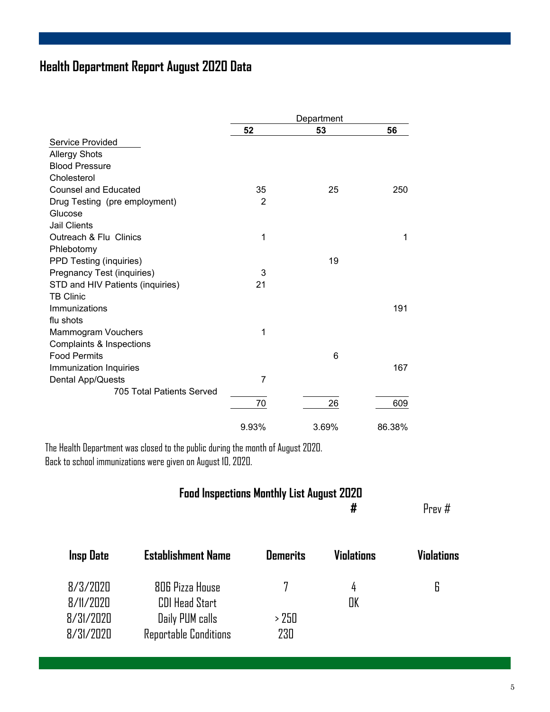# **Health Department Report August 2020 Data**

|                                  | Department |       |        |  |
|----------------------------------|------------|-------|--------|--|
|                                  | 52         | 53    | 56     |  |
| <b>Service Provided</b>          |            |       |        |  |
| <b>Allergy Shots</b>             |            |       |        |  |
| <b>Blood Pressure</b>            |            |       |        |  |
| Cholesterol                      |            |       |        |  |
| <b>Counsel and Educated</b>      | 35         | 25    | 250    |  |
| Drug Testing (pre employment)    | 2          |       |        |  |
| Glucose                          |            |       |        |  |
| <b>Jail Clients</b>              |            |       |        |  |
| Outreach & Flu Clinics           | 1          |       | 1      |  |
| Phlebotomy                       |            |       |        |  |
| PPD Testing (inquiries)          |            | 19    |        |  |
| Pregnancy Test (inquiries)       | 3          |       |        |  |
| STD and HIV Patients (inquiries) | 21         |       |        |  |
| <b>TB Clinic</b>                 |            |       |        |  |
| Immunizations                    |            |       | 191    |  |
| flu shots                        |            |       |        |  |
| Mammogram Vouchers               | 1          |       |        |  |
| Complaints & Inspections         |            |       |        |  |
| <b>Food Permits</b>              |            | 6     |        |  |
| Immunization Inquiries           |            |       | 167    |  |
| Dental App/Quests                | 7          |       |        |  |
| 705 Total Patients Served        |            |       |        |  |
|                                  | 70         | 26    | 609    |  |
|                                  | 9.93%      | 3.69% | 86.38% |  |

The Health Department was closed to the public during the month of August 2020. Back to school immunizations were given on August 10, 2020.

# **Food Inspections Monthly List August 2020**

**#** Prev #

| <b>Insp Date</b>                   | <b>Establishment Name</b>                                   | <b>Demerits</b> | <b>Violations</b> | <b>Violations</b> |
|------------------------------------|-------------------------------------------------------------|-----------------|-------------------|-------------------|
| 8/3/2020<br>8/11/2020<br>8/31/2020 | 806 Pizza House<br><b>CDI Head Start</b><br>Daily PUM calls | > 250           | 4<br>OK           | 6                 |
| 8/31/2020                          | Reportable Conditions                                       | 230             |                   |                   |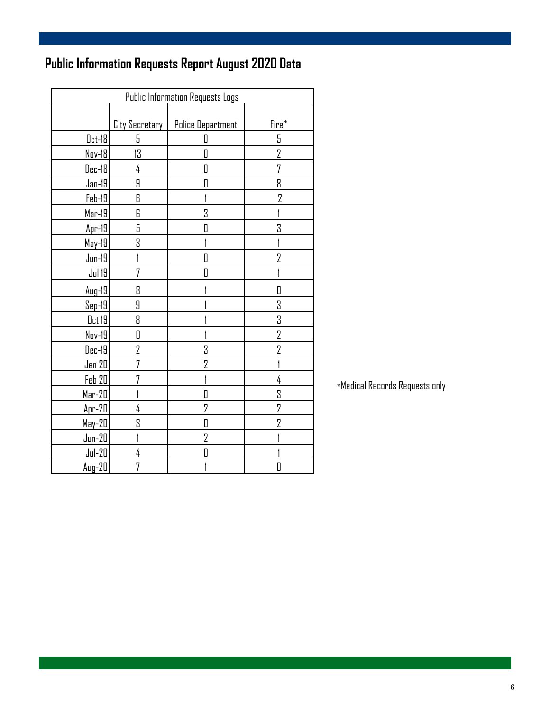# **Public Information Requests Report August 2020 Data**

| <b>Public Information Requests Logs</b> |                |                          |                |  |  |  |
|-----------------------------------------|----------------|--------------------------|----------------|--|--|--|
|                                         | City Secretary | <b>Police Department</b> | Fire*          |  |  |  |
| $0$ ct-18                               | 5              | 0                        | 5              |  |  |  |
| Nov-18                                  | 13             | Π                        | $\overline{2}$ |  |  |  |
| Dec-18                                  | 4              | 0                        | 7              |  |  |  |
| $Jan-19$                                | 9              | D                        | 8              |  |  |  |
| Feb-19                                  | 6              |                          | 2              |  |  |  |
| $Mar-19$                                | 6              | 3                        |                |  |  |  |
| $Apr-19$                                | 5              | D                        | 3              |  |  |  |
| May-19                                  | 3              |                          |                |  |  |  |
| $Jun-19$                                |                | D                        | $\overline{2}$ |  |  |  |
| <b>Jul 19</b>                           | 7              | Π                        |                |  |  |  |
| $Aug-19$                                | 8              |                          | П              |  |  |  |
| $Sep-19$                                | 9              |                          | 3              |  |  |  |
| Oct 19                                  | 8              |                          | 3              |  |  |  |
| Nov-19                                  | 0              |                          | $\overline{2}$ |  |  |  |
| Dec-19                                  | 2              | 3                        | $\overline{2}$ |  |  |  |
| Jan 20                                  | 7              | $\overline{2}$           |                |  |  |  |
| Feb 20                                  | 7              |                          | 4              |  |  |  |
| Mar-20                                  |                | O                        | 3              |  |  |  |
| $Apr-20$                                | 4              | 2                        | $\overline{2}$ |  |  |  |
| $May-20$                                | 3              | O                        | 2              |  |  |  |
| $Jun-20$                                |                | 2                        |                |  |  |  |
| $Jul-20$                                | 4              | D                        |                |  |  |  |
| $Aug-2D$                                | 7              |                          | 0              |  |  |  |

 $\,$ \*Medical Records Requests only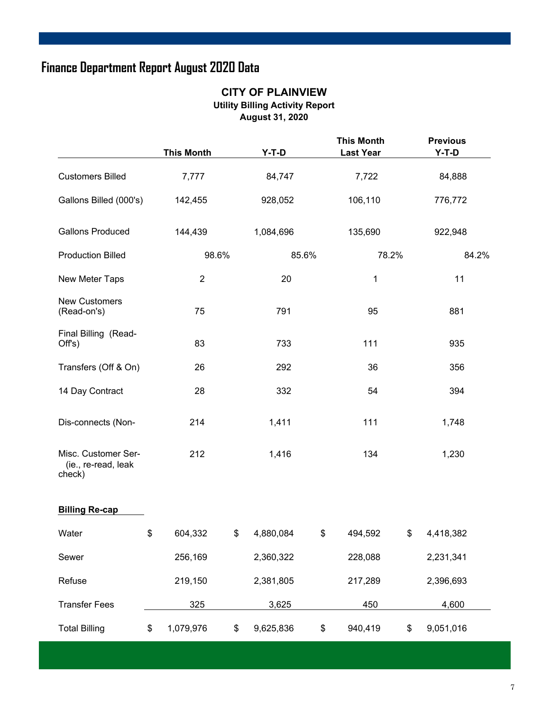# **Finance Department Report August 2020 Data**

#### **CITY OF PLAINVIEW Utility Billing Activity Report August 31, 2020**

|                                                      | <b>This Month</b> |        | $Y-T-D$   |       | <b>This Month</b><br><b>Last Year</b> |    | <b>Previous</b><br>$Y-T-D$ |  |
|------------------------------------------------------|-------------------|--------|-----------|-------|---------------------------------------|----|----------------------------|--|
| <b>Customers Billed</b>                              | 7,777             | 84,747 |           |       | 7,722                                 |    | 84,888                     |  |
| Gallons Billed (000's)                               | 142,455           |        | 928,052   |       | 106,110                               |    | 776,772                    |  |
| <b>Gallons Produced</b>                              | 144,439           |        | 1,084,696 |       | 135,690                               |    | 922,948                    |  |
| <b>Production Billed</b>                             |                   | 98.6%  |           | 85.6% | 78.2%                                 |    | 84.2%                      |  |
| New Meter Taps                                       | $\overline{2}$    |        | 20        |       | 1                                     |    | 11                         |  |
| <b>New Customers</b><br>(Read-on's)                  | 75                |        | 791       |       | 95                                    |    | 881                        |  |
| Final Billing (Read-<br>Off's)                       | 83                | 733    |           |       | 111                                   |    | 935                        |  |
| Transfers (Off & On)                                 | 26                |        | 292       |       | 36                                    |    | 356                        |  |
| 14 Day Contract                                      | 28                |        | 332       |       | 54                                    |    | 394                        |  |
| Dis-connects (Non-                                   | 214               | 1,411  |           | 111   |                                       |    | 1,748                      |  |
| Misc. Customer Ser-<br>(ie., re-read, leak<br>check) | 212               | 1,416  |           | 134   |                                       |    | 1,230                      |  |
| <b>Billing Re-cap</b>                                |                   |        |           |       |                                       |    |                            |  |
| Water                                                | \$<br>604,332     | \$     | 4,880,084 | \$    | 494,592                               | \$ | 4,418,382                  |  |
| Sewer                                                | 256,169           |        | 2,360,322 |       | 228,088                               |    | 2,231,341                  |  |
| Refuse                                               | 219,150           |        | 2,381,805 |       | 217,289                               |    | 2,396,693                  |  |
| <b>Transfer Fees</b>                                 | 325               |        | 3,625     |       | 450                                   |    | 4,600                      |  |
| <b>Total Billing</b>                                 | \$<br>1,079,976   | \$     | 9,625,836 | \$    | 940,419                               | \$ | 9,051,016                  |  |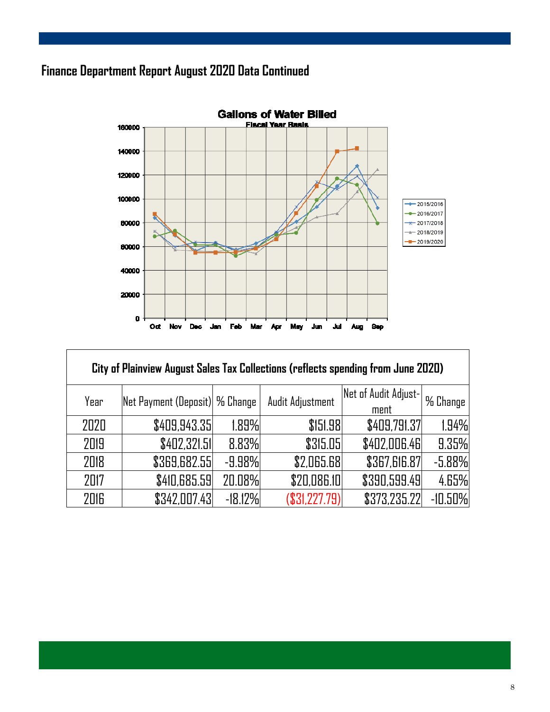# **Finance Department Report August 2020 Data Continued**

Г



| City of Plainview August Sales Tax Collections (reflects spending from June 2020) |                                |           |                  |                      |           |  |  |  |  |  |
|-----------------------------------------------------------------------------------|--------------------------------|-----------|------------------|----------------------|-----------|--|--|--|--|--|
| Year                                                                              | Net Payment (Deposit) % Change |           | Audit Adjustment | Net of Audit Adjust- | % Change  |  |  |  |  |  |
|                                                                                   |                                |           |                  | ment                 |           |  |  |  |  |  |
| 2020                                                                              | \$409,943.35                   | 1.89%     | \$151.98         | \$409,791.37         | 1.94%     |  |  |  |  |  |
| 2019                                                                              | \$402,321.51                   | 8.83%     | \$315.05         | \$402,006.46         | 9.35%     |  |  |  |  |  |
| 2018                                                                              | \$369,682.55                   | $-9.98%$  | \$2,065.68       | \$367,616.87         | $-5.88%$  |  |  |  |  |  |
| 2017                                                                              | \$410,685.59                   | 20.08%    | \$20,086.10      | \$390,599.49         | 4.65%     |  |  |  |  |  |
| 2016                                                                              | \$342,007.43                   | $-18.12%$ | (\$31,227.79)    | \$373,235.22         | $-10.50%$ |  |  |  |  |  |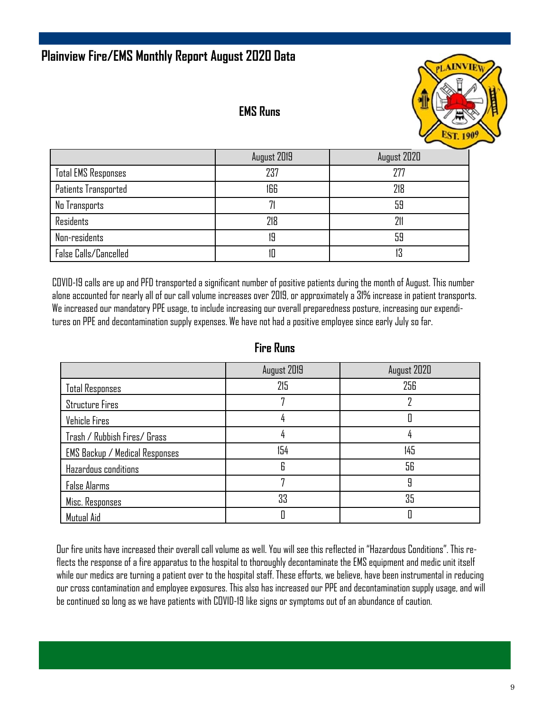# **Plainview Fire/EMS Monthly Report August 2020 Data**

#### **EMS Runs**



|                            | August 2019 | August 2020 |
|----------------------------|-------------|-------------|
| <b>Total EMS Responses</b> | 237         | 277         |
| Patients Transported       | 166         | 218         |
| No Transports              |             | 59          |
| <b>Residents</b>           | 218         | 211         |
| Non-residents              | 19          | 59          |
| False Calls/Cancelled      |             | 13          |

COVID-19 calls are up and PFD transported a significant number of positive patients during the month of August. This number alone accounted for nearly all of our call volume increases over 2019, or approximately a 31% increase in patient transports. We increased our mandatory PPE usage, to include increasing our overall preparedness posture, increasing our expenditures on PPE and decontamination supply expenses. We have not had a positive employee since early July so far.

| .                              |             |             |
|--------------------------------|-------------|-------------|
|                                | August 2019 | August 2020 |
| <b>Total Responses</b>         | 215         | 256         |
| <b>Structure Fires</b>         |             |             |
| Vehicle Fires                  |             |             |
| Trash / Rubbish Fires/ Grass   |             |             |
| EMS Backup / Medical Responses | 154         | 145         |
| Hazardous conditions           | R           | 56          |
| False Alarms                   |             | 9           |
| Misc. Responses                | 33          | 35          |
| Mutual Aid                     |             |             |

#### **Fire Runs**

Our fire units have increased their overall call volume as well. You will see this reflected in "Hazardous Conditions". This reflects the response of a fire apparatus to the hospital to thoroughly decontaminate the EMS equipment and medic unit itself while our medics are turning a patient over to the hospital staff. These efforts, we believe, have been instrumental in reducing our cross contamination and employee exposures. This also has increased our PPE and decontamination supply usage, and will be continued so long as we have patients with COVID-19 like signs or symptoms out of an abundance of caution.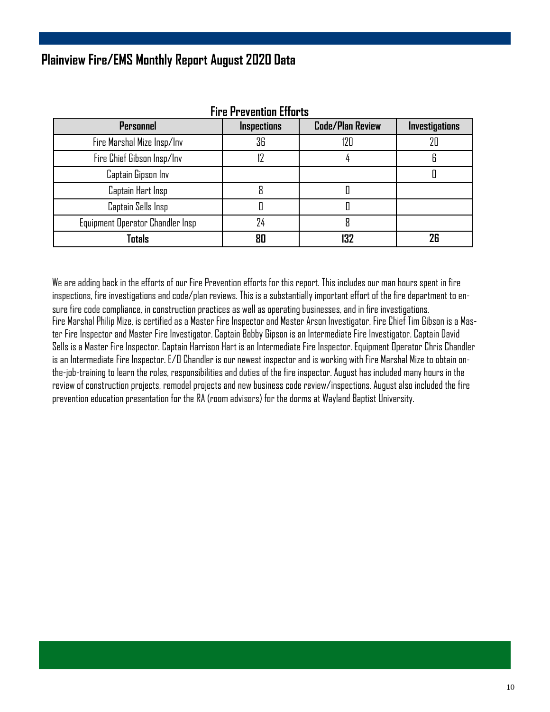## **Plainview Fire/EMS Monthly Report August 2020 Data**

| <b>Fire Prevention Efforts</b>   |                    |                         |                       |
|----------------------------------|--------------------|-------------------------|-----------------------|
| Personnel                        | <b>Inspections</b> | <b>Code/Plan Review</b> | <b>Investigations</b> |
| Fire Marshal Mize Insp/Inv       | 36                 | 120                     | 20                    |
| Fire Chief Gibson Insp/Inv       |                    |                         | 6                     |
| Captain Gipson Inv               |                    |                         |                       |
| Captain Hart Insp                |                    |                         |                       |
| Captain Sells Insp               |                    |                         |                       |
| Equipment Operator Chandler Insp | 24                 | 8                       |                       |
| Totals                           | Rſ                 | 132                     | 26                    |

#### We are adding back in the efforts of our Fire Prevention efforts for this report. This includes our man hours spent in fire inspections, fire investigations and code/plan reviews. This is a substantially important effort of the fire department to ensure fire code compliance, in construction practices as well as operating businesses, and in fire investigations. Fire Marshal Philip Mize, is certified as a Master Fire Inspector and Master Arson Investigator. Fire Chief Tim Gibson is a Master Fire Inspector and Master Fire Investigator. Captain Bobby Gipson is an Intermediate Fire Investigator. Captain David Sells is a Master Fire Inspector. Captain Harrison Hart is an Intermediate Fire Inspector. Equipment Operator Chris Chandler is an Intermediate Fire Inspector. E/O Chandler is our newest inspector and is working with Fire Marshal Mize to obtain onthe-job-training to learn the roles, responsibilities and duties of the fire inspector. August has included many hours in the review of construction projects, remodel projects and new business code review/inspections. August also included the fire prevention education presentation for the RA (room advisors) for the dorms at Wayland Baptist University.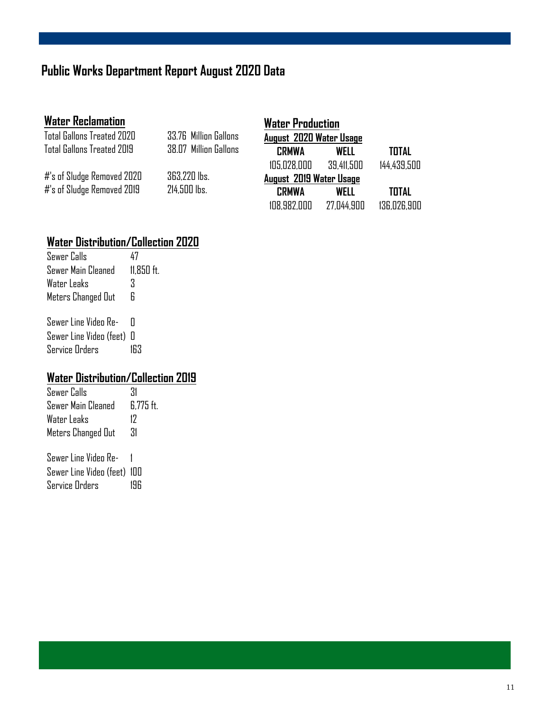# **Public Works Department Report August 2020 Data**

| <b>Water Reclamation</b>   |                       | <b>Water Production</b> |            |              |
|----------------------------|-----------------------|-------------------------|------------|--------------|
| Total Gallons Treated 2020 | 33.76 Million Gallons | August 2020 Water Usage |            |              |
| Total Gallons Treated 2019 | 38.07 Million Gallons | <b>CRMWA</b>            | WELL       | <b>TOTAL</b> |
|                            |                       | 105.028.000             | 39.411.500 | 144.439.500  |
| #'s of Sludge Removed 2020 | 363.220 lbs.          | August 2019 Water Usage |            |              |
| #'s of Sludge Removed 2019 | 214,500 lbs.          | <b>CRMWA</b>            | WELL       | <b>TOTAL</b> |
|                            |                       | 108.982.000             | 27.044.900 | 136.026.900  |

# **Water Distribution/Collection 2020**

| Sewer Calls             |            |
|-------------------------|------------|
| Sewer Main Cleaned      | 11.850 ft. |
| Water Leaks             | Χ          |
| Meters Changed Out      | R          |
| Sewer Line Video Re-    | П          |
| Sewer Line Video (feet) | П          |
| <b>Service Orders</b>   |            |

# **Water Distribution/Collection 2019**

| Sewer Calls                | 31        |
|----------------------------|-----------|
| Sewer Main Cleaned         | 6.775 ft. |
| Water Leaks                | 17        |
| Meters Changed Out         | 31        |
| 0---   :-     :   - -   0- |           |

| 76MEL FIUG AIQGO KG-         |     |
|------------------------------|-----|
| Sewer Line Video (feet)  100 |     |
| Service Orders               | 196 |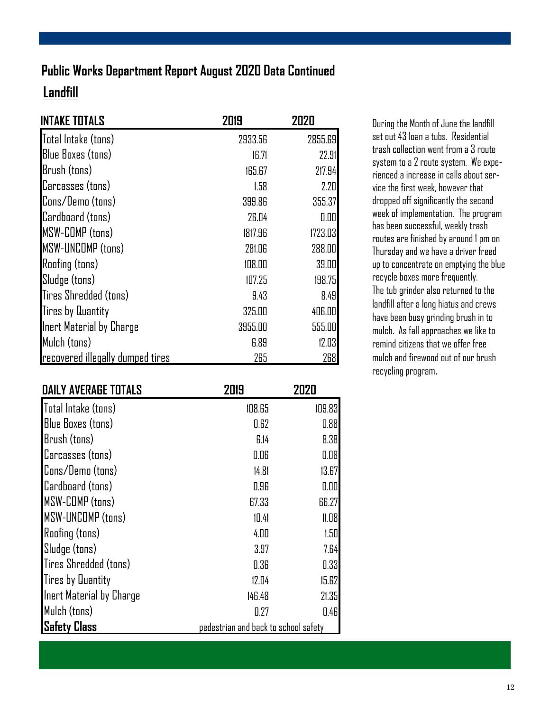# **Landfill Public Works Department Report August 2020 Data Continued**

| <b>INTAKE TOTALS</b>             | 2019    | 2020    |
|----------------------------------|---------|---------|
| Total Intake (tons)              | 2933.56 | 2855.69 |
| <b>Blue Boxes (tons)</b>         | 16.71   | 22.91   |
| Brush (tons)                     | 165.67  | 217.94  |
| Carcasses (tons)                 | 1.58    | 2.20    |
| Cons/Demo (tons)                 | 399.86  | 355.37  |
| Cardboard (tons)                 | 26.04   | 0.00    |
| MSW-COMP (tons)                  | 1817.96 | 1723.03 |
| <b>MSW-UNCOMP (tons)</b>         | 281.06  | 288.00  |
| <b>Roofing (tons)</b>            | 108.00  | 39.00   |
| Sludge (tons)                    | 107.25  | 198.75  |
| Tires Shredded (tons)            | 9.43    | 8.49    |
| <b>Tires by Quantity</b>         | 325.00  | 406.00  |
| Inert Material by Charge         | 3955.00 | 555.00  |
| Mulch (tons)                     | 6.89    | 12.03   |
| recovered illegally dumped tires | 265     | 268     |

| <b>DAILY AVERAGE TOTALS</b> | 2019                                 | 2020   |
|-----------------------------|--------------------------------------|--------|
| Total Intake (tons)         | 108.65                               | 109.83 |
| Blue Boxes (tons)           | 0.62                                 | 0.88   |
| Brush (tons)                | 6.14                                 | 8.38   |
| Carcasses (tons)            | 0.06                                 | 0.08   |
| Cons/Demo (tons)            | 14.81                                | 13.67  |
| Cardboard (tons)            | 0.96                                 | 0.00   |
| <b>MSW-COMP</b> (tons)      | 67.33                                | 66.27  |
| <b>MSW-UNCOMP (tons)</b>    | 10.41                                | 11.08  |
| <b>Roofing (tons)</b>       | 4.00                                 | 1.50   |
| Sludge (tons)               | 3.97                                 | 7.64   |
| Tires Shredded (tons)       | 0.36                                 | 0.33   |
| <b>Tires by Quantity</b>    | 12.04                                | 15.62  |
| Inert Material by Charge    | 146.48                               | 21.35  |
| Mulch (tons)                | 0.27                                 | 0.46   |
| Safety Class                | pedestrian and back to school safety |        |

During the Month of June the landfill set out 43 loan a tubs. Residential trash collection went from a 3 route system to a 2 route system. We experienced a increase in calls about service the first week, however that dropped off significantly the second week of implementation. The program has been successful, weekly trash routes are finished by around 1 pm on Thursday and we have a driver freed up to concentrate on emptying the blue recycle boxes more frequently. The tub grinder also returned to the landfill after a long hiatus and crews have been busy grinding brush in to mulch. As fall approaches we like to remind citizens that we offer free mulch and firewood out of our brush recycling program.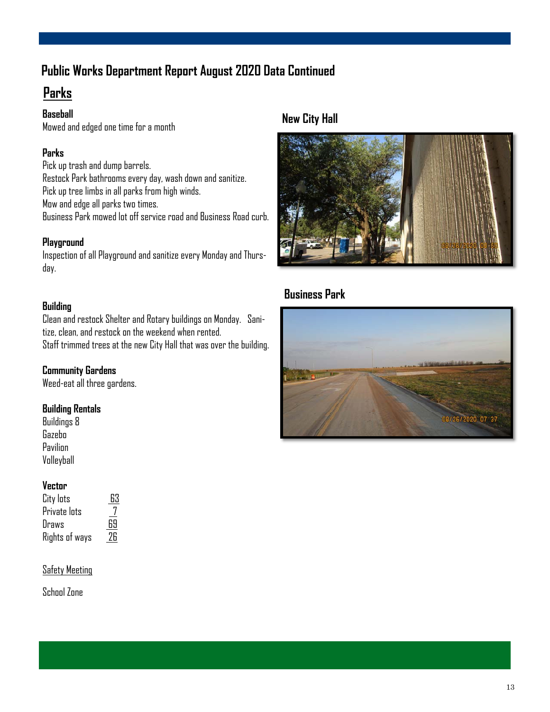# **Public Works Department Report August 2020 Data Continued**

# **Parks**

#### **Baseball**

Mowed and edged one time for a month

#### **Parks**

Pick up trash and dump barrels. Restock Park bathrooms every day, wash down and sanitize. Pick up tree limbs in all parks from high winds. Mow and edge all parks two times. Business Park mowed lot off service road and Business Road curb.

#### **Playground**

Inspection of all Playground and sanitize every Monday and Thursday.

#### **Building**

Clean and restock Shelter and Rotary buildings on Monday. Sanitize, clean, and restock on the weekend when rented. Staff trimmed trees at the new City Hall that was over the building.

#### **Community Gardens**

Weed-eat all three gardens.

#### **Building Rentals**

Buildings 8 Gazebo Pavilion Volleyball

#### **Vector**

| City lots      | 63 |
|----------------|----|
| Private lots   | 7  |
| Draws          | 69 |
| Rights of ways | 26 |

#### Safety Meeting

School Zone

#### **New City Hall**



### **Business Park**

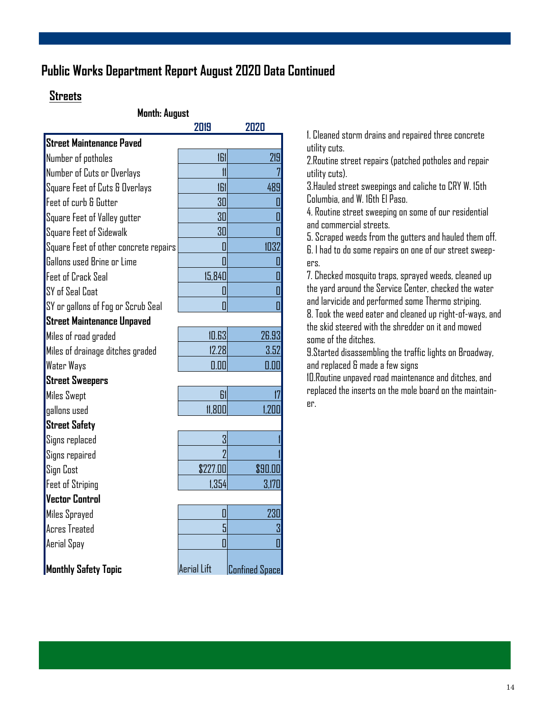### **Public Works Department Report August 2020 Data Continued**

#### **Streets**

#### **Month: August**

|                                       | 2019           | 2020                  |  |
|---------------------------------------|----------------|-----------------------|--|
| <b>Street Maintenance Paved</b>       |                |                       |  |
| Number of potholes                    | 161            | 219                   |  |
| Number of Cuts or Overlays            | $\mathfrak{m}$ |                       |  |
| Square Feet of Cuts & Overlays        | 161            | 489                   |  |
| Feet of curb & Gutter                 | 30             | I                     |  |
| Square Feet of Valley gutter          | 30             |                       |  |
| Square Feet of Sidewalk               | 30             |                       |  |
| Square Feet of other concrete repairs | П              | 1032                  |  |
| Gallons used Brine or Lime            | Π              | П                     |  |
| Feet of Crack Seal                    | 15,840         | 0                     |  |
| SY of Seal Coat                       | 0              | Π                     |  |
| SY or gallons of Fog or Scrub Seal    | Π              | Π                     |  |
| Street Maintenance Unpaved            |                |                       |  |
| Miles of road graded                  | 10.63          | 26.93                 |  |
| Miles of drainage ditches graded      | 12.28          | 3.52                  |  |
| <b>Water Ways</b>                     | 0.00           | 0.00                  |  |
| <b>Street Sweepers</b>                |                |                       |  |
| <b>Miles Swept</b>                    | 61             | 17                    |  |
| qallons used                          | 11.800         | 1.200                 |  |
| <b>Street Safety</b>                  |                |                       |  |
| Signs replaced                        | 3              |                       |  |
| Signs repaired                        | 7              |                       |  |
| <b>Sign Cost</b>                      | \$227.00       | \$90.00               |  |
| <b>Feet of Striping</b>               | 1,354          | 3,170                 |  |
| <b>Vector Control</b>                 |                |                       |  |
| Miles Sprayed                         | 0              | 230                   |  |
| <b>Acres Treated</b>                  | 5              | 3                     |  |
| Aerial Spay                           | 0              | ſ                     |  |
| <b>Monthly Safety Topic</b>           | Aerial Lift    | <b>Confined Space</b> |  |

1. Cleaned storm drains and repaired three concrete utility cuts.

2.Routine street repairs (patched potholes and repair utility cuts).

3.Hauled street sweepings and caliche to CRY W. 15th Columbia, and W. 16th El Paso.

4. Routine street sweeping on some of our residential and commercial streets.

5. Scraped weeds from the gutters and hauled them off. 6. I had to do some repairs on one of our street sweepers.

7. Checked mosquito traps, sprayed weeds, cleaned up the yard around the Service Center, checked the water and larvicide and performed some Thermo striping. 8. Took the weed eater and cleaned up right-of-ways, and the skid steered with the shredder on it and mowed some of the ditches.

9.Started disassembling the traffic lights on Broadway, and replaced & made a few signs

10.Routine unpaved road maintenance and ditches, and replaced the inserts on the mole board on the maintainer.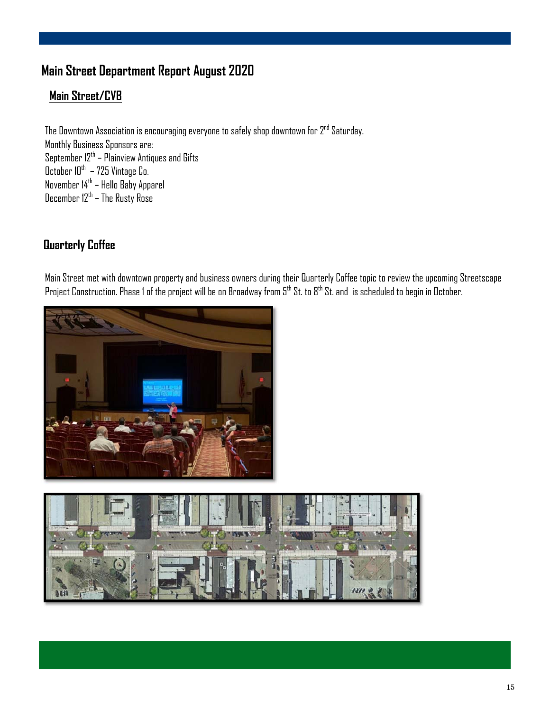# **Main Street Department Report August 2020**

### **Main Street/CVB**

The Downtown Association is encouraging everyone to safely shop downtown for  $2^{nd}$  Saturday. Monthly Business Sponsors are: September 12<sup>th</sup> – Plainview Antiques and Gifts October 10 $^{\rm th}$  – 725 Vintage Co. November 14th – Hello Baby Apparel December 12th – The Rusty Rose

### **Quarterly Coffee**

Main Street met with downtown property and business owners during their Quarterly Coffee topic to review the upcoming Streetscape Project Construction. Phase 1 of the project will be on Broadway from 5<sup>th</sup> St. to 8<sup>th</sup> St. and is scheduled to begin in October.



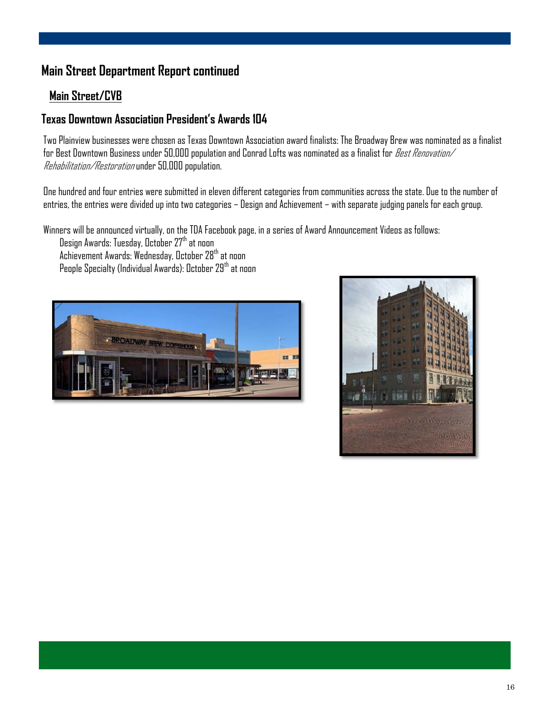# **Main Street Department Report continued**

#### **Main Street/CVB**

#### **Texas Downtown Association President's Awards 104**

Two Plainview businesses were chosen as Texas Downtown Association award finalists: The Broadway Brew was nominated as a finalist for Best Downtown Business under 50,000 population and Conrad Lofts was nominated as a finalist for *Best Renovation/* Rehabilitation/Restoration under 50,000 population.

One hundred and four entries were submitted in eleven different categories from communities across the state. Due to the number of entries, the entries were divided up into two categories – Design and Achievement – with separate judging panels for each group.

Winners will be announced virtually, on the TDA Facebook page, in a series of Award Announcement Videos as follows:

Design Awards: Tuesday, October 27<sup>th</sup> at noon Achievement Awards: Wednesday, October 28<sup>th</sup> at noon People Specialty (Individual Awards): October 29<sup>th</sup> at noon